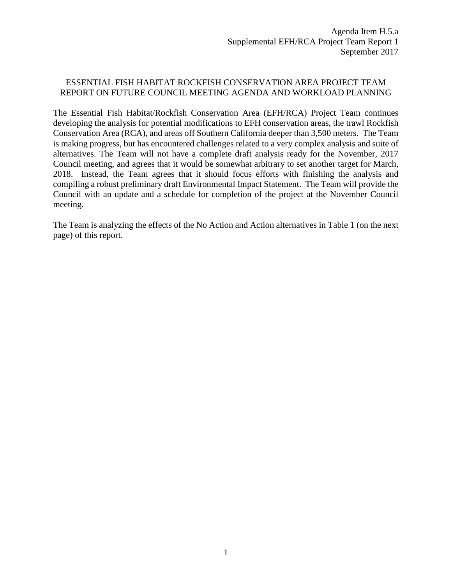## ESSENTIAL FISH HABITAT ROCKFISH CONSERVATION AREA PROJECT TEAM REPORT ON FUTURE COUNCIL MEETING AGENDA AND WORKLOAD PLANNING

The Essential Fish Habitat/Rockfish Conservation Area (EFH/RCA) Project Team continues developing the analysis for potential modifications to EFH conservation areas, the trawl Rockfish Conservation Area (RCA), and areas off Southern California deeper than 3,500 meters. The Team is making progress, but has encountered challenges related to a very complex analysis and suite of alternatives. The Team will not have a complete draft analysis ready for the November, 2017 Council meeting, and agrees that it would be somewhat arbitrary to set another target for March, 2018. Instead, the Team agrees that it should focus efforts with finishing the analysis and compiling a robust preliminary draft Environmental Impact Statement. The Team will provide the Council with an update and a schedule for completion of the project at the November Council meeting.

The Team is analyzing the effects of the No Action and Action alternatives in Table 1 (on the next page) of this report.